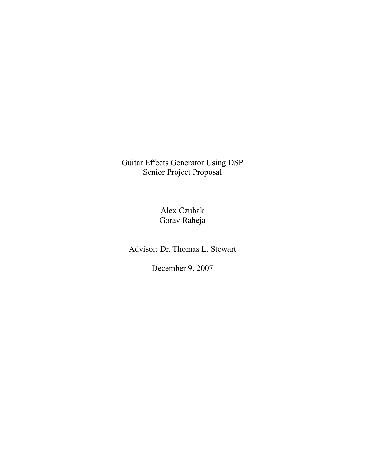Guitar Effects Generator Using DSP Senior Project Proposal

> Alex Czubak Gorav Raheja

Advisor: Dr. Thomas L. Stewart

December 9, 2007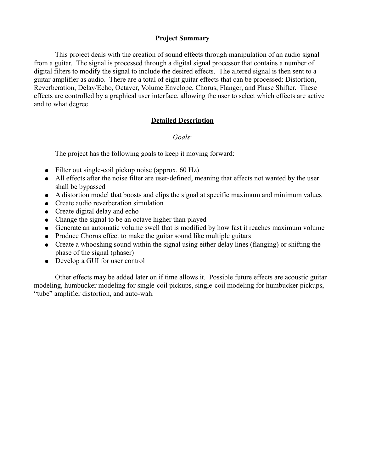### **Project Summary**

This project deals with the creation of sound effects through manipulation of an audio signal from a guitar. The signal is processed through a digital signal processor that contains a number of digital filters to modify the signal to include the desired effects. The altered signal is then sent to a guitar amplifier as audio. There are a total of eight guitar effects that can be processed: Distortion, Reverberation, Delay/Echo, Octaver, Volume Envelope, Chorus, Flanger, and Phase Shifter. These effects are controlled by a graphical user interface, allowing the user to select which effects are active and to what degree.

### **Detailed Description**

### *Goals*:

The project has the following goals to keep it moving forward:

- Filter out single-coil pickup noise (approx.  $60$  Hz)
- All effects after the noise filter are user-defined, meaning that effects not wanted by the user shall be bypassed
- A distortion model that boosts and clips the signal at specific maximum and minimum values
- Create audio reverberation simulation
- Create digital delay and echo
- Change the signal to be an octave higher than played
- Generate an automatic volume swell that is modified by how fast it reaches maximum volume
- Produce Chorus effect to make the guitar sound like multiple guitars
- Create a whooshing sound within the signal using either delay lines (flanging) or shifting the phase of the signal (phaser)
- Develop a GUI for user control

Other effects may be added later on if time allows it. Possible future effects are acoustic guitar modeling, humbucker modeling for single-coil pickups, single-coil modeling for humbucker pickups, "tube" amplifier distortion, and auto-wah.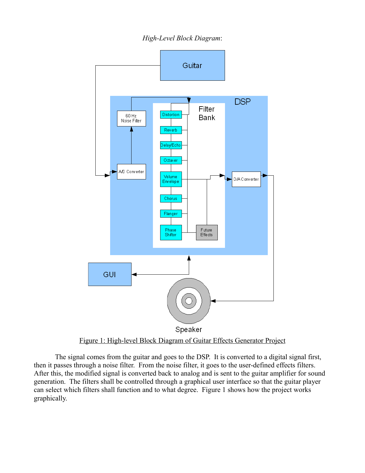*High-Level Block Diagram*:



The signal comes from the guitar and goes to the DSP. It is converted to a digital signal first, then it passes through a noise filter. From the noise filter, it goes to the user-defined effects filters. After this, the modified signal is converted back to analog and is sent to the guitar amplifier for sound generation. The filters shall be controlled through a graphical user interface so that the guitar player can select which filters shall function and to what degree. Figure 1 shows how the project works graphically.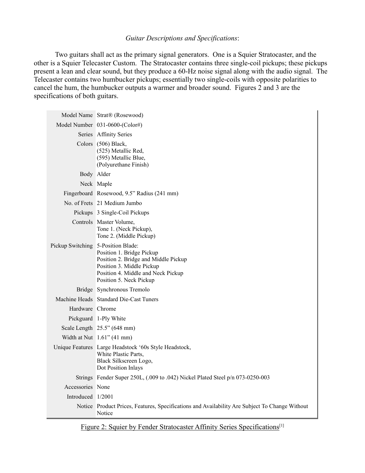#### *Guitar Descriptions and Specifications*:

Two guitars shall act as the primary signal generators. One is a Squier Stratocaster, and the other is a Squier Telecaster Custom. The Stratocaster contains three single-coil pickups; these pickups present a lean and clear sound, but they produce a 60-Hz noise signal along with the audio signal. The Telecaster contains two humbucker pickups; essentially two single-coils with opposite polarities to cancel the hum, the humbucker outputs a warmer and broader sound. Figures 2 and 3 are the specifications of both guitars.

|                                    | Model Name Strat® (Rosewood)                                                                                                                                    |  |  |
|------------------------------------|-----------------------------------------------------------------------------------------------------------------------------------------------------------------|--|--|
|                                    | Model Number 031-0600-(Color#)                                                                                                                                  |  |  |
|                                    | Series Affinity Series                                                                                                                                          |  |  |
|                                    | Colors (506) Black,<br>(525) Metallic Red,<br>(595) Metallic Blue,<br>(Polyurethane Finish)                                                                     |  |  |
|                                    | Body Alder                                                                                                                                                      |  |  |
|                                    | Neck Maple                                                                                                                                                      |  |  |
|                                    | Fingerboard Rosewood, 9.5" Radius (241 mm)                                                                                                                      |  |  |
|                                    | No. of Frets 21 Medium Jumbo                                                                                                                                    |  |  |
|                                    | Pickups 3 Single-Coil Pickups                                                                                                                                   |  |  |
|                                    | Controls Master Volume,<br>Tone 1. (Neck Pickup),<br>Tone 2. (Middle Pickup)                                                                                    |  |  |
| Pickup Switching 5-Position Blade: | Position 1. Bridge Pickup<br>Position 2. Bridge and Middle Pickup<br>Position 3. Middle Pickup<br>Position 4. Middle and Neck Pickup<br>Position 5. Neck Pickup |  |  |
|                                    | Bridge Synchronous Tremolo                                                                                                                                      |  |  |
|                                    | Machine Heads Standard Die-Cast Tuners                                                                                                                          |  |  |
| Hardware Chrome                    |                                                                                                                                                                 |  |  |
|                                    | Pickguard 1-Ply White                                                                                                                                           |  |  |
|                                    | Scale Length 25.5" (648 mm)                                                                                                                                     |  |  |
|                                    | Width at Nut $1.61$ " (41 mm)                                                                                                                                   |  |  |
|                                    | Unique Features Large Headstock '60s Style Headstock,<br>White Plastic Parts,<br>Black Silkscreen Logo,<br>Dot Position Inlays                                  |  |  |
|                                    | Strings Fender Super 250L, (.009 to .042) Nickel Plated Steel p/n 073-0250-003                                                                                  |  |  |
| Accessories None                   |                                                                                                                                                                 |  |  |
| Introduced 1/2001                  |                                                                                                                                                                 |  |  |
|                                    | Notice Product Prices, Features, Specifications and Availability Are Subject To Change Without<br>Notice                                                        |  |  |

Figure 2: Squier by Fender Stratocaster Affinity Series Specifications<sup>[1]</sup>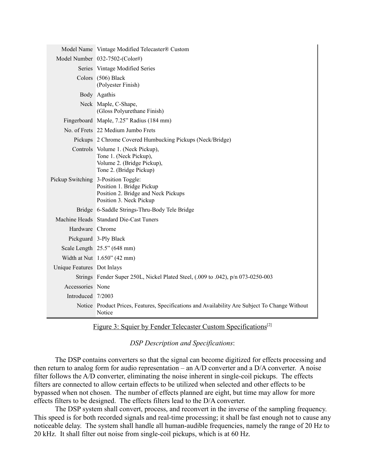|                            | Model Name Vintage Modified Telecaster® Custom                                                                                     |  |
|----------------------------|------------------------------------------------------------------------------------------------------------------------------------|--|
|                            | Model Number 032-7502-(Color#)                                                                                                     |  |
|                            | Series Vintage Modified Series                                                                                                     |  |
|                            | Colors (506) Black<br>(Polyester Finish)                                                                                           |  |
|                            | Body Agathis                                                                                                                       |  |
|                            | Neck Maple, C-Shape,<br>(Gloss Polyurethane Finish)                                                                                |  |
|                            | Fingerboard Maple, 7.25" Radius (184 mm)                                                                                           |  |
|                            | No. of Frets 22 Medium Jumbo Frets                                                                                                 |  |
|                            | Pickups 2 Chrome Covered Humbucking Pickups (Neck/Bridge)                                                                          |  |
|                            | Controls Volume 1. (Neck Pickup),<br>Tone 1. (Neck Pickup),<br>Volume 2. (Bridge Pickup),<br>Tone 2. (Bridge Pickup)               |  |
|                            | Pickup Switching 3-Position Toggle:<br>Position 1. Bridge Pickup<br>Position 2. Bridge and Neck Pickups<br>Position 3. Neck Pickup |  |
|                            | Bridge 6-Saddle Strings-Thru-Body Tele Bridge                                                                                      |  |
|                            | Machine Heads Standard Die-Cast Tuners                                                                                             |  |
| Hardware Chrome            |                                                                                                                                    |  |
|                            | Pickguard 3-Ply Black                                                                                                              |  |
|                            | Scale Length $25.5$ " (648 mm)                                                                                                     |  |
|                            | Width at Nut 1.650" (42 mm)                                                                                                        |  |
| Unique Features Dot Inlays |                                                                                                                                    |  |
|                            | Strings Fender Super 250L, Nickel Plated Steel, (.009 to .042), p/n 073-0250-003                                                   |  |
| Accessories None           |                                                                                                                                    |  |
| Introduced 7/2003          |                                                                                                                                    |  |
|                            | Notice Product Prices, Features, Specifications and Availability Are Subject To Change Without<br>Notice                           |  |

Figure 3: Squier by Fender Telecaster Custom Specifications<sup>[2]</sup>

*DSP Description and Specifications*:

The DSP contains converters so that the signal can become digitized for effects processing and then return to analog form for audio representation – an A/D converter and a D/A converter. A noise filter follows the A/D converter, eliminating the noise inherent in single-coil pickups. The effects filters are connected to allow certain effects to be utilized when selected and other effects to be bypassed when not chosen. The number of effects planned are eight, but time may allow for more effects filters to be designed. The effects filters lead to the D/A converter.

The DSP system shall convert, process, and reconvert in the inverse of the sampling frequency. This speed is for both recorded signals and real-time processing; it shall be fast enough not to cause any noticeable delay. The system shall handle all human-audible frequencies, namely the range of 20 Hz to 20 kHz. It shall filter out noise from single-coil pickups, which is at 60 Hz.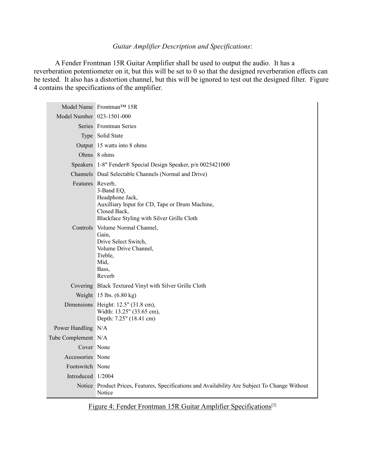### *Guitar Amplifier Description and Specifications*:

A Fender Frontman 15R Guitar Amplifier shall be used to output the audio. It has a reverberation potentiometer on it, but this will be set to 0 so that the designed reverberation effects can be tested. It also has a distortion channel, but this will be ignored to test out the designed filter. Figure 4 contains the specifications of the amplifier.

|                           | Model Name Frontman <sup>TM</sup> 15R                                                                                                         |  |  |
|---------------------------|-----------------------------------------------------------------------------------------------------------------------------------------------|--|--|
| Model Number 023-1501-000 |                                                                                                                                               |  |  |
|                           | Series Frontman Series                                                                                                                        |  |  |
|                           | Type Solid State                                                                                                                              |  |  |
|                           | Output 15 watts into 8 ohms                                                                                                                   |  |  |
|                           | Ohms 8 ohms                                                                                                                                   |  |  |
|                           | Speakers 1-8" Fender® Special Design Speaker, p/n 0025421000                                                                                  |  |  |
|                           | Channels Dual Selectable Channels (Normal and Drive)                                                                                          |  |  |
| Features Reverb,          | 3-Band EQ,<br>Headphone Jack,<br>Auxilliary Input for CD, Tape or Drum Machine,<br>Closed Back,<br>Blackface Styling with Silver Grille Cloth |  |  |
|                           | Controls Volume Normal Channel,<br>Gain,<br>Drive Select Switch,<br>Volume Drive Channel,<br>Treble,<br>Mid,<br>Bass.<br>Reverb               |  |  |
|                           | Covering Black Textured Vinyl with Silver Grille Cloth                                                                                        |  |  |
|                           | Weight 15 lbs. (6.80 kg)                                                                                                                      |  |  |
|                           | Dimensions Height: 12.5" (31.8 cm),<br>Width: 13.25" (33.65 cm),<br>Depth: 7.25" (18.41 cm)                                                   |  |  |
| Power Handling N/A        |                                                                                                                                               |  |  |
| Tube Complement N/A       |                                                                                                                                               |  |  |
| Cover None                |                                                                                                                                               |  |  |
| Accessories None          |                                                                                                                                               |  |  |
| Footswitch None           |                                                                                                                                               |  |  |
| Introduced 1/2004         |                                                                                                                                               |  |  |
|                           | Notice Product Prices, Features, Specifications and Availability Are Subject To Change Without<br>Notice                                      |  |  |

Figure 4: Fender Frontman 15R Guitar Amplifier Specifications<sup>[3]</sup>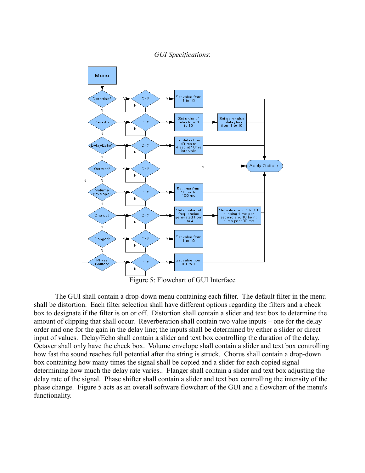*GUI Specifications*:



The GUI shall contain a drop-down menu containing each filter. The default filter in the menu shall be distortion. Each filter selection shall have different options regarding the filters and a check box to designate if the filter is on or off. Distortion shall contain a slider and text box to determine the amount of clipping that shall occur. Reverberation shall contain two value inputs – one for the delay order and one for the gain in the delay line; the inputs shall be determined by either a slider or direct input of values. Delay/Echo shall contain a slider and text box controlling the duration of the delay. Octaver shall only have the check box. Volume envelope shall contain a slider and text box controlling how fast the sound reaches full potential after the string is struck. Chorus shall contain a drop-down box containing how many times the signal shall be copied and a slider for each copied signal determining how much the delay rate varies.. Flanger shall contain a slider and text box adjusting the delay rate of the signal. Phase shifter shall contain a slider and text box controlling the intensity of the phase change. Figure 5 acts as an overall software flowchart of the GUI and a flowchart of the menu's functionality.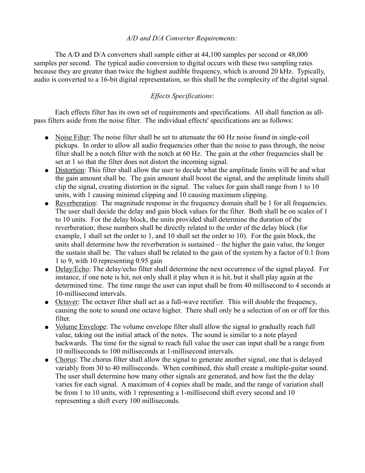### *A/D and D/A Converter Requirements:*

The A/D and D/A converters shall sample either at 44,100 samples per second or 48,000 samples per second. The typical audio conversion to digital occurs with these two sampling rates because they are greater than twice the highest audible frequency, which is around 20 kHz. Typically, audio is converted to a 16-bit digital representation, so this shall be the complexity of the digital signal.

## *Effects Specifications*:

Each effects filter has its own set of requirements and specifications. All shall function as allpass filters aside from the noise filter. The individual effects' specifications are as follows:

- Noise Filter: The noise filter shall be set to attenuate the 60 Hz noise found in single-coil pickups. In order to allow all audio frequencies other than the noise to pass through, the noise filter shall be a notch filter with the notch at 60 Hz. The gain at the other frequencies shall be set at 1 so that the filter does not distort the incoming signal.
- Distortion: This filter shall allow the user to decide what the amplitude limits will be and what the gain amount shall be. The gain amount shall boost the signal, and the amplitude limits shall clip the signal, creating distortion in the signal. The values for gain shall range from 1 to 10 units, with 1 causing minimal clipping and 10 causing maximum clipping.
- Reverberation: The magnitude response in the frequency domain shall be 1 for all frequencies. The user shall decide the delay and gain block values for the filter. Both shall be on scales of 1 to 10 units. For the delay block, the units provided shall determine the duration of the reverberation; these numbers shall be directly related to the order of the delay block (for example, 1 shall set the order to 1, and 10 shall set the order to 10). For the gain block, the units shall determine how the reverberation is sustained – the higher the gain value, the longer the sustain shall be. The values shall be related to the gain of the system by a factor of 0.1 from 1 to 9, with 10 representing 0.95 gain
- Delay/Echo: The delay/echo filter shall determine the next occurrence of the signal played. For instance, if one note is hit, not only shall it play when it is hit, but it shall play again at the determined time. The time range the user can input shall be from 40 millisecond to 4 seconds at 10-millisecond intervals.
- Octaver: The octaver filter shall act as a full-wave rectifier. This will double the frequency, causing the note to sound one octave higher. There shall only be a selection of on or off for this filter.
- Volume Envelope: The volume envelope filter shall allow the signal to gradually reach full value, taking out the initial attack of the notes. The sound is similar to a note played backwards. The time for the signal to reach full value the user can input shall be a range from 10 milliseconds to 100 milliseconds at 1-millisecond intervals.
- Chorus: The chorus filter shall allow the signal to generate another signal, one that is delayed variably from 30 to 40 milliseconds. When combined, this shall create a multiple-guitar sound. The user shall determine how many other signals are generated, and how fast the the delay varies for each signal. A maximum of 4 copies shall be made, and the range of variation shall be from 1 to 10 units, with 1 representing a 1-millisecond shift every second and 10 representing a shift every 100 milliseconds.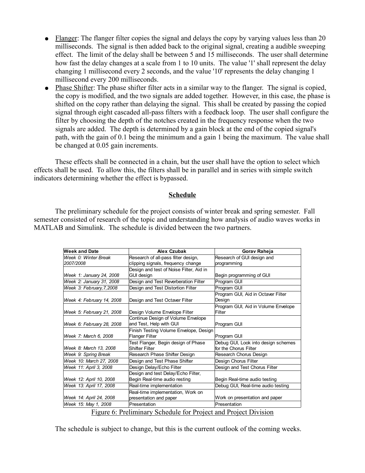- Flanger: The flanger filter copies the signal and delays the copy by varying values less than 20 milliseconds. The signal is then added back to the original signal, creating a audible sweeping effect. The limit of the delay shall be between 5 and 15 milliseconds. The user shall determine how fast the delay changes at a scale from 1 to 10 units. The value '1' shall represent the delay changing 1 millisecond every 2 seconds, and the value '10' represents the delay changing 1 millisecond every 200 milliseconds.
- Phase Shifter: The phase shifter filter acts in a similar way to the flanger. The signal is copied, the copy is modified, and the two signals are added together. However, in this case, the phase is shifted on the copy rather than delaying the signal. This shall be created by passing the copied signal through eight cascaded all-pass filters with a feedback loop. The user shall configure the filter by choosing the depth of the notches created in the frequency response when the two signals are added. The depth is determined by a gain block at the end of the copied signal's path, with the gain of 0.1 being the minimum and a gain 1 being the maximum. The value shall be changed at 0.05 gain increments.

These effects shall be connected in a chain, but the user shall have the option to select which effects shall be used. To allow this, the filters shall be in parallel and in series with simple switch indicators determining whether the effect is bypassed.

### **Schedule**

The preliminary schedule for the project consists of winter break and spring semester. Fall semester consisted of research of the topic and understanding how analysis of audio waves works in MATLAB and Simulink. The schedule is divided between the two partners.

| <b>Week and Date</b>                                            | Alex Czubak                             | Gorav Raheja                        |  |  |
|-----------------------------------------------------------------|-----------------------------------------|-------------------------------------|--|--|
| Week 0: Winter Break                                            | Research of all-pass filter design,     | Research of GUI design and          |  |  |
| 2007/2008                                                       | clipping signals, frequency change      | programming                         |  |  |
|                                                                 | Design and test of Noise Filter, Aid in |                                     |  |  |
| Week 1: January 24, 2008                                        | <b>GUI desian</b>                       | Begin programming of GUI            |  |  |
| Week 2: January 31, 2008                                        | Design and Test Reverberation Filter    | Program GUI                         |  |  |
| Week 3: February, 7, 2008                                       | Design and Test Distortion Filter       | Program GUI                         |  |  |
|                                                                 |                                         | Program GUI, Aid in Octaver Filter  |  |  |
| Week 4: February 14, 2008                                       | Design and Test Octaver Filter          | Design                              |  |  |
|                                                                 |                                         | Program GUI, Aid in Volume Envelope |  |  |
| Week 5: February 21, 2008                                       | Design Volume Envelope Filter           | Filter                              |  |  |
|                                                                 | Continue Design of Volume Envelope      |                                     |  |  |
| Week 6: February 28, 2008                                       | and Test, Help with GUI                 | Program GUI                         |  |  |
|                                                                 | Finish Testing Volume Envelope, Design  |                                     |  |  |
| Week 7: March 6, 2008                                           | Flanger Filter                          | Program GUI                         |  |  |
|                                                                 | Test Flanger, Begin design of Phase     | Debug GUI, Look into design schemes |  |  |
| Week 8: March 13, 2008                                          | Shifter Filter                          | for the Chorus Filter               |  |  |
| Week 9: Spring Break                                            | Research Phase Shifter Design           | Research Chorus Design              |  |  |
| Week 10: March 27, 2008                                         | Design and Test Phase Shifter           | Design Chorus Filter                |  |  |
| Week 11: April 3, 2008                                          | Design Delay/Echo Filter                | Design and Test Chorus Filter       |  |  |
|                                                                 | Design and test Delay/Echo Filter,      |                                     |  |  |
| Week 12: April 10, 2008                                         | Begin Real-time audio resting           | Begin Real-time audio testing       |  |  |
| Week 13: April 17, 2008                                         | Real-time implementation                | Debug GUI, Real-time audio testing  |  |  |
|                                                                 | Real-time implementation, Work on       |                                     |  |  |
| Week 14: April 24, 2008                                         | presentation and paper                  | Work on presentation and paper      |  |  |
| Week 15: May 1, 2008                                            | Presentation                            | Presentation                        |  |  |
| Eigura 6: Draliminary Schodule for Draiget and Draiget Division |                                         |                                     |  |  |

Figure 6: Preliminary Schedule for Project and Project Division

The schedule is subject to change, but this is the current outlook of the coming weeks.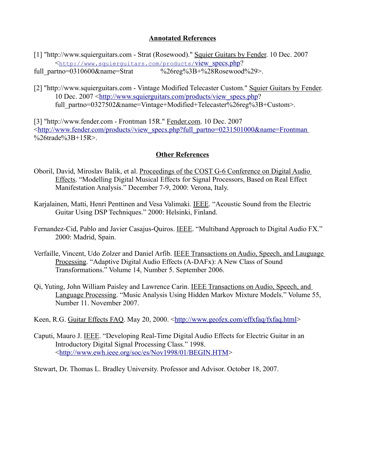### **Annotated References**

[1] "http://www.squierguitars.com - Strat (Rosewood)." Squier Guitars by Fender. 10 Dec. 2007 < [http://www.squierguitars.com/products/](http://www.squierguitars.com/products/view_specs.php) [view\\_specs.php?](http://www.squierguitars.com/products/view_specs.php)

full\_partno=0310600&name=Strat %26reg%3B+%28Rosewood%29>.

[2] "http://www.squierguitars.com - Vintage Modified Telecaster Custom." Squier Guitars by Fender. 10 Dec. 2007 [< http://www.squierguitars.com/products/ view\\_specs.php?](http://www.squierguitars.com/products/view_specs.php) full\_partno=0327502&name=Vintage+Modified+Telecaster%26reg%3B+Custom>.

[3] "http://www.fender.com - Frontman 15R." Fender.com. 10 Dec. 2007 [<http://www.fender.com/products//view\\_specs.php?full\\_partno=0231501000&name=Frontman](http://www.fender.com/products//view_specs.php?full_partno=0231501000&name=Frontman) %26trade%3B+15R>.

## **Other References**

- Oboril, David, Miroslav Balik, et al. Proceedings of the COST G-6 Conference on Digital Audio Effects. "Modelling Digital Musical Effects for Signal Processors, Based on Real Effect Manifestation Analysis." December 7-9, 2000: Verona, Italy.
- Karjalainen, Matti, Henri Penttinen and Vesa Valimaki. IEEE. "Acoustic Sound from the Electric Guitar Using DSP Techniques." 2000: Helsinki, Finland.
- Fernandez-Cid, Pablo and Javier Casajus-Quiros. IEEE. "Multiband Approach to Digital Audio FX." 2000: Madrid, Spain.
- Verfaille, Vincent, Udo Zolzer and Daniel Arfib. IEEE Transactions on Audio, Speech, and Lauguage Processing. "Adaptive Digital Audio Effects (A-DAFx): A New Class of Sound Transformations." Volume 14, Number 5. September 2006.
- Qi, Yuting, John William Paisley and Lawrence Carin. IEEE Transactions on Audio, Speech, and Language Processing. "Music Analysis Using Hidden Markov Mixture Models." Volume 55, Number 11. November 2007.
- Keen, R.G. Guitar Effects FAQ. May 20, 2000. [<http://www.geofex.com/effxfaq/fxfaq.html>](http://www.geofex.com/effxfaq/fxfaq.html)
- Caputi, Mauro J. IEEE. "Developing Real-Time Digital Audio Effects for Electric Guitar in an Introductory Digital Signal Processing Class." 1998. [<http://www.ewh.ieee.org/soc/es/Nov1998/01/BEGIN.HTM>](http://www.ewh.ieee.org/soc/es/Nov1998/01/BEGIN.HTM)

Stewart, Dr. Thomas L. Bradley University. Professor and Advisor. October 18, 2007.